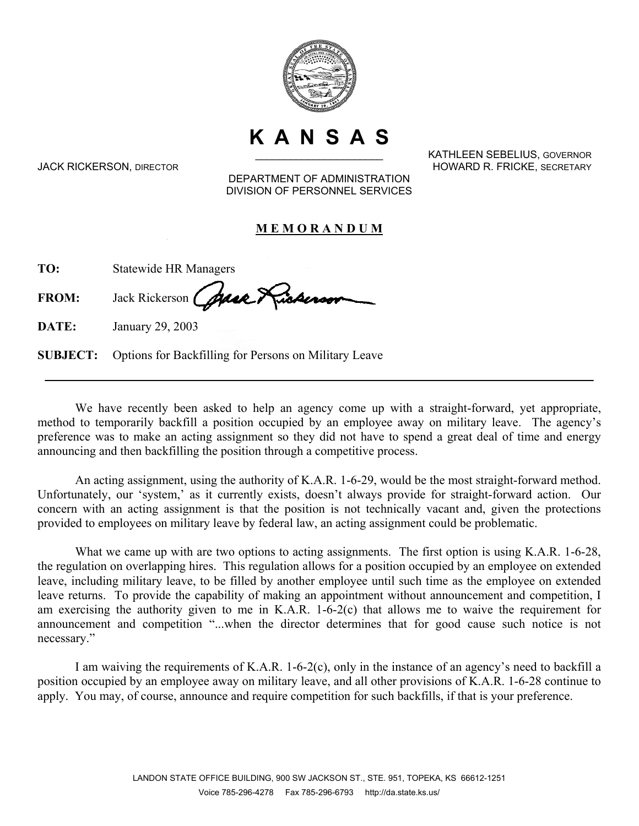

**K A N S A S** 

KATHLEEN SEBELIUS, GOVERNOR JACK RICKERSON, DIRECTOR HOWARD R. FRICKE, SECRETARY

DEPARTMENT OF ADMINISTRATION DIVISION OF PERSONNEL SERVICES

## **M E M O R A N D U M**

| TO: | <b>Statewide HR Managers</b> |  |
|-----|------------------------------|--|
|     | $\cdot$ $\infty$             |  |

FROM: Jack Rickerson (Alace)

**DATE:** January 29, 2003

**SUBJECT:** Options for Backfilling for Persons on Military Leave

We have recently been asked to help an agency come up with a straight-forward, yet appropriate, method to temporarily backfill a position occupied by an employee away on military leave. The agency's preference was to make an acting assignment so they did not have to spend a great deal of time and energy announcing and then backfilling the position through a competitive process.

An acting assignment, using the authority of K.A.R. 1-6-29, would be the most straight-forward method. Unfortunately, our 'system,' as it currently exists, doesn't always provide for straight-forward action. Our concern with an acting assignment is that the position is not technically vacant and, given the protections provided to employees on military leave by federal law, an acting assignment could be problematic.

What we came up with are two options to acting assignments. The first option is using K.A.R. 1-6-28, the regulation on overlapping hires. This regulation allows for a position occupied by an employee on extended leave, including military leave, to be filled by another employee until such time as the employee on extended leave returns. To provide the capability of making an appointment without announcement and competition, I am exercising the authority given to me in K.A.R. 1-6-2(c) that allows me to waive the requirement for announcement and competition "...when the director determines that for good cause such notice is not necessary."

I am waiving the requirements of K.A.R. 1-6-2(c), only in the instance of an agency's need to backfill a position occupied by an employee away on military leave, and all other provisions of K.A.R. 1-6-28 continue to apply. You may, of course, announce and require competition for such backfills, if that is your preference.